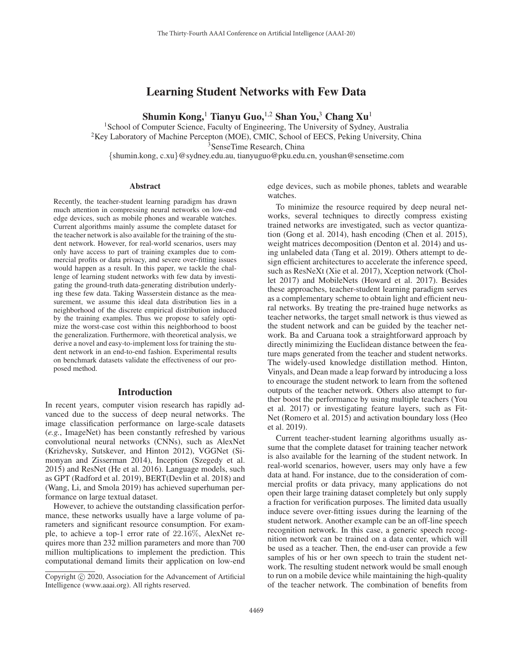# Learning Student Networks with Few Data

Shumin Kong,<sup>1</sup> Tianyu Guo,<sup>1,2</sup> Shan You,<sup>3</sup> Chang Xu<sup>1</sup>

<sup>1</sup>School of Computer Science, Faculty of Engineering, The University of Sydney, Australia <sup>2</sup>Key Laboratory of Machine Percepton (MOE), CMIC, School of EECS, Peking University, China <sup>3</sup>SenseTime Research, China {shumin.kong, c.xu}@sydney.edu.au, tianyuguo@pku.edu.cn, youshan@sensetime.com

### **Abstract**

Recently, the teacher-student learning paradigm has drawn much attention in compressing neural networks on low-end edge devices, such as mobile phones and wearable watches. Current algorithms mainly assume the complete dataset for the teacher network is also available for the training of the student network. However, for real-world scenarios, users may only have access to part of training examples due to commercial profits or data privacy, and severe over-fitting issues would happen as a result. In this paper, we tackle the challenge of learning student networks with few data by investigating the ground-truth data-generating distribution underlying these few data. Taking Wasserstein distance as the measurement, we assume this ideal data distribution lies in a neighborhood of the discrete empirical distribution induced by the training examples. Thus we propose to safely optimize the worst-case cost within this neighborhood to boost the generalization. Furthermore, with theoretical analysis, we derive a novel and easy-to-implement loss for training the student network in an end-to-end fashion. Experimental results on benchmark datasets validate the effectiveness of our proposed method.

### Introduction

In recent years, computer vision research has rapidly advanced due to the success of deep neural networks. The image classification performance on large-scale datasets (*e.g.*, ImageNet) has been constantly refreshed by various convolutional neural networks (CNNs), such as AlexNet (Krizhevsky, Sutskever, and Hinton 2012), VGGNet (Simonyan and Zisserman 2014), Inception (Szegedy et al. 2015) and ResNet (He et al. 2016). Language models, such as GPT (Radford et al. 2019), BERT(Devlin et al. 2018) and (Wang, Li, and Smola 2019) has achieved superhuman performance on large textual dataset.

However, to achieve the outstanding classification performance, these networks usually have a large volume of parameters and significant resource consumption. For example, to achieve a top-1 error rate of 22.16%, AlexNet requires more than 232 million parameters and more than 700 million multiplications to implement the prediction. This computational demand limits their application on low-end edge devices, such as mobile phones, tablets and wearable watches.

To minimize the resource required by deep neural networks, several techniques to directly compress existing trained networks are investigated, such as vector quantization (Gong et al. 2014), hash encoding (Chen et al. 2015), weight matrices decomposition (Denton et al. 2014) and using unlabeled data (Tang et al. 2019). Others attempt to design efficient architectures to accelerate the inference speed, such as ResNeXt (Xie et al. 2017), Xception network (Chollet 2017) and MobileNets (Howard et al. 2017). Besides these approaches, teacher-student learning paradigm serves as a complementary scheme to obtain light and efficient neural networks. By treating the pre-trained huge networks as teacher networks, the target small network is thus viewed as the student network and can be guided by the teacher network. Ba and Caruana took a straightforward approach by directly minimizing the Euclidean distance between the feature maps generated from the teacher and student networks. The widely-used knowledge distillation method. Hinton, Vinyals, and Dean made a leap forward by introducing a loss to encourage the student network to learn from the softened outputs of the teacher network. Others also attempt to further boost the performance by using multiple teachers (You et al. 2017) or investigating feature layers, such as Fit-Net (Romero et al. 2015) and activation boundary loss (Heo et al. 2019).

Current teacher-student learning algorithms usually assume that the complete dataset for training teacher network is also available for the learning of the student network. In real-world scenarios, however, users may only have a few data at hand. For instance, due to the consideration of commercial profits or data privacy, many applications do not open their large training dataset completely but only supply a fraction for verification purposes. The limited data usually induce severe over-fitting issues during the learning of the student network. Another example can be an off-line speech recognition network. In this case, a generic speech recognition network can be trained on a data center, which will be used as a teacher. Then, the end-user can provide a few samples of his or her own speech to train the student network. The resulting student network would be small enough to run on a mobile device while maintaining the high-quality of the teacher network. The combination of benefits from

Copyright  $\odot$  2020, Association for the Advancement of Artificial Intelligence (www.aaai.org). All rights reserved.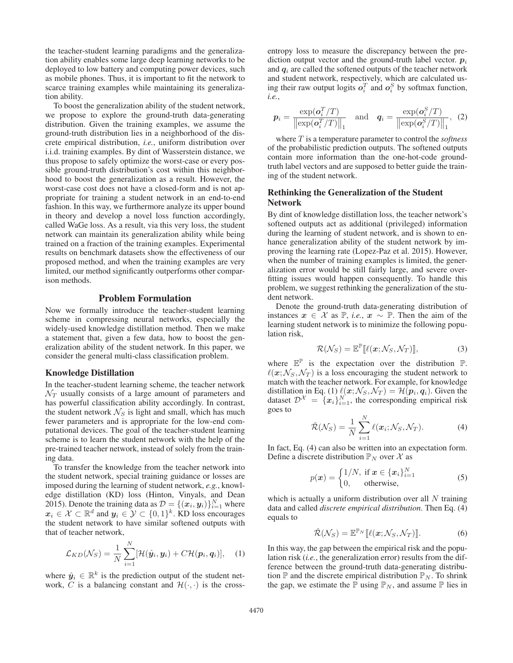the teacher-student learning paradigms and the generalization ability enables some large deep learning networks to be deployed to low battery and computing power devices, such as mobile phones. Thus, it is important to fit the network to scarce training examples while maintaining its generalization ability.

To boost the generalization ability of the student network, we propose to explore the ground-truth data-generating distribution. Given the training examples, we assume the ground-truth distribution lies in a neighborhood of the discrete empirical distribution, *i.e.*, uniform distribution over i.i.d. training examples. By dint of Wasserstein distance, we thus propose to safely optimize the worst-case or every possible ground-truth distribution's cost within this neighborhood to boost the generalization as a result. However, the worst-case cost does not have a closed-form and is not appropriate for training a student network in an end-to-end fashion. In this way, we furthermore analyze its upper bound in theory and develop a novel loss function accordingly, called WaGe loss. As a result, via this very loss, the student network can maintain its generalization ability while being trained on a fraction of the training examples. Experimental results on benchmark datasets show the effectiveness of our proposed method, and when the training examples are very limited, our method significantly outperforms other comparison methods.

## Problem Formulation

Now we formally introduce the teacher-student learning scheme in compressing neural networks, especially the widely-used knowledge distillation method. Then we make a statement that, given a few data, how to boost the generalization ability of the student network. In this paper, we consider the general multi-class classification problem.

#### Knowledge Distillation

In the teacher-student learning scheme, the teacher network  $\mathcal{N}_T$  usually consists of a large amount of parameters and has powerful classification ability accordingly. In contrast, the student network  $\mathcal{N}_S$  is light and small, which has much fewer parameters and is appropriate for the low-end computational devices. The goal of the teacher-student learning scheme is to learn the student network with the help of the pre-trained teacher network, instead of solely from the training data.

To transfer the knowledge from the teacher network into the student network, special training guidance or losses are imposed during the learning of student network, *e.g.*, knowledge distillation (KD) loss (Hinton, Vinyals, and Dean 2015). Denote the training data as  $\mathcal{D} = \{(\boldsymbol{x}_i, \boldsymbol{y}_i)\}_{i=1}^N$  where  $x_i \in \mathcal{X} \subset \mathbb{R}^d$  and  $y_i \in \mathcal{Y} \subset \{0,1\}^k$ . KD loss encourages the student network to have similar softened outputs with that of teacher network,

$$
\mathcal{L}_{KD}(\mathcal{N}_S) = \frac{1}{N} \sum_{i=1}^{N} [\mathcal{H}(\hat{\boldsymbol{y}}_i, \boldsymbol{y}_i) + C\mathcal{H}(\boldsymbol{p}_i, \boldsymbol{q}_i)], \quad (1)
$$

where  $\hat{y}_i \in \mathbb{R}^k$  is the prediction output of the student network,  $\tilde{C}$  is a balancing constant and  $\mathcal{H}(\cdot, \cdot)$  is the crossentropy loss to measure the discrepancy between the prediction output vector and the ground-truth label vector.  $p_i$ and  $q_i$  are called the softened outputs of the teacher network and student network, respectively, which are calculated using their raw output logits  $o_i^T$  and  $o_i^S$  by softmax function,  $i.e.$ 

$$
\boldsymbol{p}_i = \frac{\exp(\boldsymbol{o}_i^T/T)}{\left\| \exp(\boldsymbol{o}_i^T/T) \right\|_1} \quad \text{and} \quad \boldsymbol{q}_i = \frac{\exp(\boldsymbol{o}_i^S/T)}{\left\| \exp(\boldsymbol{o}_i^S/T) \right\|_1}, \tag{2}
$$

where T is a temperature parameter to control the *softness* of the probabilistic prediction outputs. The softened outputs contain more information than the one-hot-code groundtruth label vectors and are supposed to better guide the training of the student network.

## Rethinking the Generalization of the Student Network

By dint of knowledge distillation loss, the teacher network's softened outputs act as additional (privileged) information during the learning of student network, and is shown to enhance generalization ability of the student network by improving the learning rate (Lopez-Paz et al. 2015). However, when the number of training examples is limited, the generalization error would be still fairly large, and severe overfitting issues would happen consequently. To handle this problem, we suggest rethinking the generalization of the student network.

Denote the ground-truth data-generating distribution of instances  $x \in \mathcal{X}$  as  $\mathbb{P}$ , *i.e.*,  $x \sim \mathbb{P}$ . Then the aim of the learning student network is to minimize the following population risk,

$$
\mathcal{R}(\mathcal{N}_S) = \mathbb{E}^{\mathbb{P}}[\ell(\boldsymbol{x}; \mathcal{N}_S, \mathcal{N}_T)],\tag{3}
$$

where  $\mathbb{E}^{\mathbb{P}}$  is the expectation over the distribution  $\mathbb{P}$ .  $\ell(\mathbf{x}; \mathcal{N}_S, \mathcal{N}_T)$  is a loss encouraging the student network to match with the teacher network. For example, for knowledge distillation in Eq. (1)  $\ell(x; \mathcal{N}_S, \mathcal{N}_T) = \mathcal{H}(\boldsymbol{p}_i, \boldsymbol{q}_i)$ . Given the dataset  $\mathcal{D}^{\mathcal{X}} = \{x_i\}_{i=1}^N$ , the corresponding empirical risk goes to

$$
\hat{\mathcal{R}}(\mathcal{N}_S) = \frac{1}{N} \sum_{i=1}^{N} \ell(\boldsymbol{x}_i; \mathcal{N}_S, \mathcal{N}_T).
$$
 (4)

In fact, Eq. (4) can also be written into an expectation form. Define a discrete distribution  $\mathbb{P}_N$  over X as

$$
p(\boldsymbol{x}) = \begin{cases} 1/N, & \text{if } \boldsymbol{x} \in \{\boldsymbol{x}_i\}_{i=1}^N \\ 0, & \text{otherwise,} \end{cases}
$$
 (5)

which is actually a uniform distribution over all  $N$  training data and called *discrete empirical distribution*. Then Eq. (4) equals to

$$
\hat{\mathcal{R}}(\mathcal{N}_S) = \mathbb{E}^{\mathbb{P}_N} [\![\ell(\mathbf{x}; \mathcal{N}_S, \mathcal{N}_T)]\!].
$$
 (6)

In this way, the gap between the empirical risk and the population risk (*i.e.*, the generalization error) results from the difference between the ground-truth data-generating distribution  $\mathbb P$  and the discrete empirical distribution  $\mathbb P_N$ . To shrink the gap, we estimate the  $\mathbb P$  using  $\mathbb P_N$ , and assume  $\mathbb P$  lies in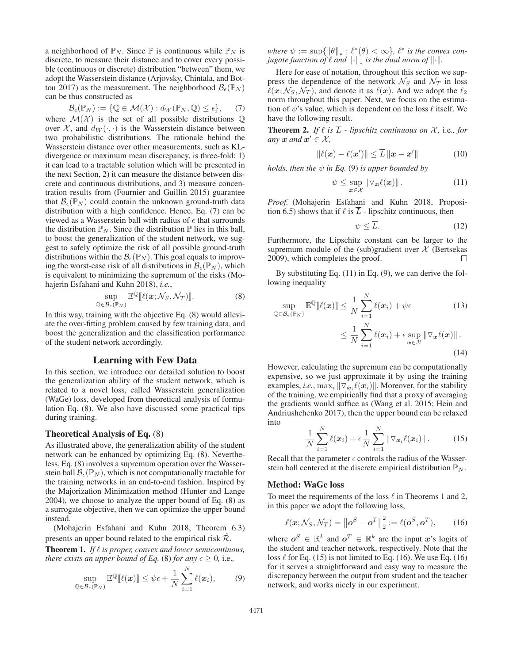a neighborhood of  $\mathbb{P}_N$ . Since  $\mathbb P$  is continuous while  $\mathbb{P}_N$  is discrete, to measure their distance and to cover every possible (continuous or discrete) distribution "between" them, we adopt the Wasserstein distance (Arjovsky, Chintala, and Bottou 2017) as the measurement. The neighborhood  $\mathcal{B}_{\epsilon}(\mathbb{P}_N)$ can be thus constructed as

$$
\mathcal{B}_{\epsilon}(\mathbb{P}_N) := \{ \mathbb{Q} \in \mathcal{M}(\mathcal{X}) : d_W(\mathbb{P}_N, \mathbb{Q}) \le \epsilon \}, \quad (7)
$$

where  $\mathcal{M}(\mathcal{X})$  is the set of all possible distributions  $\mathbb Q$ over  $\mathcal{X}$ , and  $d_W(\cdot, \cdot)$  is the Wasserstein distance between two probabilistic distributions. The rationale behind the Wasserstein distance over other measurements, such as KLdivergence or maximum mean discrepancy, is three-fold: 1) it can lead to a tractable solution which will be presented in the next Section, 2) it can measure the distance between discrete and continuous distributions, and 3) measure concentration results from (Fournier and Guillin 2015) guarantee that  $\mathcal{B}_{\epsilon}(\mathbb{P}_N)$  could contain the unknown ground-truth data distribution with a high confidence. Hence, Eq. (7) can be viewed as a Wasserstein ball with radius of  $\epsilon$  that surrounds the distribution  $\mathbb{P}_N$ . Since the distribution  $\mathbb P$  lies in this ball, to boost the generalization of the student network, we suggest to safely optimize the risk of all possible ground-truth distributions within the  $\mathcal{B}_{\epsilon}(\mathbb{P}_N)$ . This goal equals to improving the worst-case risk of all distributions in  $\mathcal{B}_{\epsilon}(\mathbb{P}_N)$ , which is equivalent to minimizing the supremum of the risks (Mohajerin Esfahani and Kuhn 2018), *i.e.*,

$$
\sup_{\mathbb{Q}\in\mathcal{B}_{\epsilon}(\mathbb{P}_N)} \mathbb{E}^{\mathbb{Q}}[\ell(\boldsymbol{x};\mathcal{N}_S,\mathcal{N}_T)]].
$$
\n(8)

In this way, training with the objective Eq. (8) would alleviate the over-fitting problem caused by few training data, and boost the generalization and the classification performance of the student network accordingly.

## Learning with Few Data

In this section, we introduce our detailed solution to boost the generalization ability of the student network, which is related to a novel loss, called Wasserstein generalization (WaGe) loss, developed from theoretical analysis of formulation Eq. (8). We also have discussed some practical tips during training.

#### Theoretical Analysis of Eq. (8)

As illustrated above, the generalization ability of the student network can be enhanced by optimizing Eq. (8). Nevertheless, Eq. (8) involves a supremum operation over the Wasserstein ball  $\mathcal{B}_{\epsilon}(\mathbb{P}_N)$ , which is not computationally tractable for the training networks in an end-to-end fashion. Inspired by the Majorization Minimization method (Hunter and Lange 2004), we choose to analyze the upper bound of Eq. (8) as a surrogate objective, then we can optimize the upper bound instead.

(Mohajerin Esfahani and Kuhn 2018, Theorem 6.3) presents an upper bound related to the empirical risk  $\mathcal{R}$ .

**Theorem 1.** If  $\ell$  is proper, convex and lower semicontinous, *there exists an upper bound of Eq.* (8) *for any*  $\epsilon > 0$ , *i.e.*,

$$
\sup_{\mathbb{Q}\in\mathcal{B}_{\epsilon}(\mathbb{P}_N)} \mathbb{E}^{\mathbb{Q}}[\ell(\boldsymbol{x})] \leq \psi \epsilon + \frac{1}{N} \sum_{i=1}^N \ell(\boldsymbol{x}_i),\tag{9}
$$

*where*  $\psi := \sup \{ \|\theta\|_* : \ell^*(\theta) < \infty \}$ ,  $\ell^*$  *is the convex conjugate function of*  $\ell$  *and*  $\left\| \cdot \right\|_*$  *is the dual norm of*  $\| \cdot \|$ .

Here for ease of notation, throughout this section we suppress the dependence of the network  $\mathcal{N}_S$  and  $\mathcal{N}_T$  in loss  $\ell(x; \mathcal{N}_S, \mathcal{N}_T)$ , and denote it as  $\ell(x)$ . And we adopt the  $\ell_2$ norm throughout this paper. Next, we focus on the estimation of  $\psi$ 's value, which is dependent on the loss  $\ell$  itself. We have the following result.

**Theorem 2.** If  $\ell$  is  $\overline{L}$  - lipschitz continuous on  $\chi$ , i.e., for *any*  $x$  *and*  $x' \in \mathcal{X}$ *,* 

$$
\|\ell(\boldsymbol{x}) - \ell(\boldsymbol{x}')\| \le \overline{L} \|\boldsymbol{x} - \boldsymbol{x}'\| \tag{10}
$$

*holds, then the*  $\psi$  *in Eq.* (9) *is upper bounded by* 

$$
\psi \leq \sup_{\mathbf{x} \in \mathcal{X}} \|\nabla_{\mathbf{x}} \ell(\mathbf{x})\|.
$$
 (11)

*Proof.* (Mohajerin Esfahani and Kuhn 2018, Proposition 6.5) shows that if  $\ell$  is  $\overline{L}$  - lipschitz continuous, then

$$
\psi \le \overline{L}.\tag{12}
$$

Furthermore, the Lipschitz constant can be larger to the supremum module of the (sub)gradient over  $\mathcal X$  (Bertsekas 2009), which completes the proof.

By substituting Eq. (11) in Eq. (9), we can derive the following inequality

$$
\sup_{\mathbb{Q}\in\mathcal{B}_{\epsilon}(\mathbb{P}_{N})} \mathbb{E}^{\mathbb{Q}}[\ell(\boldsymbol{x})] \leq \frac{1}{N} \sum_{i=1}^{N} \ell(\boldsymbol{x}_{i}) + \psi \epsilon
$$
\n
$$
\leq \frac{1}{N} \sum_{i=1}^{N} \ell(\boldsymbol{x}_{i}) + \epsilon \sup_{\boldsymbol{x}\in\mathcal{X}} \|\nabla_{\boldsymbol{x}}\ell(\boldsymbol{x})\|.
$$
\n(14)

However, calculating the supremum can be computationally expensive, so we just approximate it by using the training examples, *i.e.*,  $\max_i ||\nabla_{\mathbf{x}_i}^{\mathbf{x}_i} \ell(\mathbf{x}_i)||$ . Moreover, for the stability of the training, we empirically find that a proxy of averaging the gradients would suffice as (Wang et al. 2015; Hein and Andriushchenko 2017), then the upper bound can be relaxed into

$$
\frac{1}{N}\sum_{i=1}^{N}\ell(\boldsymbol{x}_{i})+\epsilon\frac{1}{N}\sum_{i=1}^{N}\|\nabla_{\boldsymbol{x}_{i}}\ell(\boldsymbol{x}_{i})\|.
$$
 (15)

Recall that the parameter  $\epsilon$  controls the radius of the Wasserstein ball centered at the discrete empirical distribution  $\mathbb{P}_N$ .

#### Method: WaGe loss

To meet the requirements of the loss  $\ell$  in Theorems 1 and 2, in this paper we adopt the following loss,

$$
\ell(\mathbf{x}; \mathcal{N}_S, \mathcal{N}_T) = ||\mathbf{o}^S - \mathbf{o}^T||_2^2 := \ell(\mathbf{o}^S, \mathbf{o}^T),
$$
 (16)

where  $o^S \in \mathbb{R}^k$  and  $o^T \in \mathbb{R}^k$  are the input *x*'s logits of the student and teacher network, respectively. Note that the loss  $\ell$  for Eq. (15) is not limited to Eq. (16). We use Eq. (16) for it serves a straightforward and easy way to measure the discrepancy between the output from student and the teacher network, and works nicely in our experiment.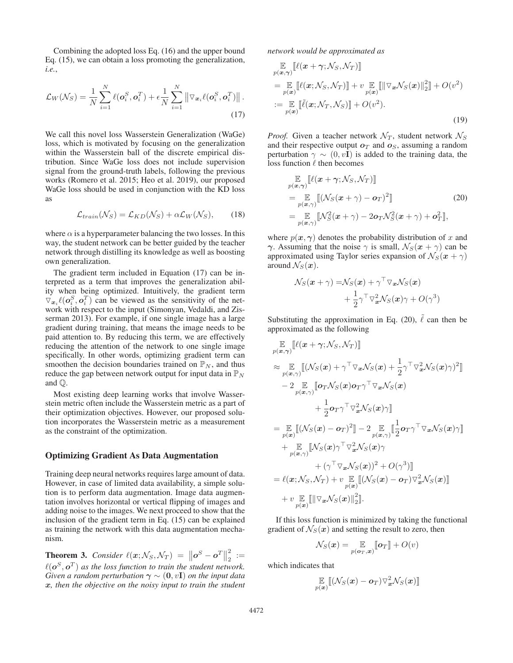Combining the adopted loss Eq. (16) and the upper bound Eq. (15), we can obtain a loss promoting the generalization, *i.e.*,

$$
\mathcal{L}_W(\mathcal{N}_S) = \frac{1}{N} \sum_{i=1}^N \ell(\boldsymbol{o}_i^S, \boldsymbol{o}_i^T) + \epsilon \frac{1}{N} \sum_{i=1}^N \left\| \nabla_{\boldsymbol{x}_i} \ell(\boldsymbol{o}_i^S, \boldsymbol{o}_i^T) \right\|.
$$
\n(17)

We call this novel loss Wasserstein Generalization (WaGe) loss, which is motivated by focusing on the generalization within the Wasserstein ball of the discrete empirical distribution. Since WaGe loss does not include supervision signal from the ground-truth labels, following the previous works (Romero et al. 2015; Heo et al. 2019), our proposed WaGe loss should be used in conjunction with the KD loss as

$$
\mathcal{L}_{train}(\mathcal{N}_S) = \mathcal{L}_{KD}(\mathcal{N}_S) + \alpha \mathcal{L}_W(\mathcal{N}_S), \qquad (18)
$$

where  $\alpha$  is a hyperparameter balancing the two losses. In this way, the student network can be better guided by the teacher network through distilling its knowledge as well as boosting own generalization.

The gradient term included in Equation (17) can be interpreted as a term that improves the generalization ability when being optimized. Intuitively, the gradient term  $\nabla_{x_i} \ell(o_i^S, o_i^T)$  can be viewed as the sensitivity of the network with respect to the input (Simonyan, Vedaldi, and Zisserman 2013). For example, if one single image has a large gradient during training, that means the image needs to be paid attention to. By reducing this term, we are effectively reducing the attention of the network to one single image specifically. In other words, optimizing gradient term can smoothen the decision boundaries trained on  $\mathbb{P}_N$ , and thus reduce the gap between network output for input data in  $\mathbb{P}_N$ and Q.

Most existing deep learning works that involve Wasserstein metric often include the Wasserstein metric as a part of their optimization objectives. However, our proposed solution incorporates the Wasserstein metric as a measurement as the constraint of the optimization.

#### Optimizing Gradient As Data Augmentation

Training deep neural networks requires large amount of data. However, in case of limited data availability, a simple solution is to perform data augmentation. Image data augmentation involves horizontal or vertical flipping of images and adding noise to the images. We next proceed to show that the inclusion of the gradient term in Eq. (15) can be explained as training the network with this data augmentation mechanism.

**Theorem 3.** *Consider*  $\ell(x; \mathcal{N}_S, \mathcal{N}_T) = ||\boldsymbol{o}^S - \boldsymbol{o}^T||$  $\frac{2}{2} :=$  $\ell({\boldsymbol{o}}^S, {\boldsymbol{o}}^T)$  as the loss function to train the student network. *Given a random perturbation*  $\gamma \sim (0, vI)$  *on the input data x, then the objective on the noisy input to train the student* *network would be approximated as*

$$
\mathbb{E}_{p(\boldsymbol{x},\boldsymbol{\gamma})}[\ell(\boldsymbol{x}+\boldsymbol{\gamma};\mathcal{N}_S,\mathcal{N}_T)]
$$
\n
$$
= \mathbb{E}_{p(\boldsymbol{x})}[\ell(\boldsymbol{x};\mathcal{N}_S,\mathcal{N}_T)] + v \mathbb{E}_{p(\boldsymbol{x})}[\|\nabla_{\boldsymbol{x}}\mathcal{N}_S(\boldsymbol{x})\|_2^2] + O(v^2)
$$
\n
$$
:= \mathbb{E}_{p(\boldsymbol{x})}[\ell(\boldsymbol{x};\mathcal{N}_T,\mathcal{N}_S)] + O(v^2).
$$
\n(19)

*Proof.* Given a teacher network  $\mathcal{N}_T$ , student network  $\mathcal{N}_S$ and their respective output  $o<sub>T</sub>$  and  $o<sub>S</sub>$ , assuming a random perturbation  $\gamma \sim (0, vI)$  is added to the training data, the loss function  $\ell$  then becomes

$$
\mathbb{E}_{p(\boldsymbol{x},\boldsymbol{\gamma})}[\ell(\boldsymbol{x}+\boldsymbol{\gamma};\mathcal{N}_S,\mathcal{N}_T)]
$$
\n
$$
= \mathbb{E}_{p(\boldsymbol{x},\boldsymbol{\gamma})}[(\mathcal{N}_S(\boldsymbol{x}+\boldsymbol{\gamma})-\boldsymbol{o}_T)^2]
$$
\n
$$
= \mathbb{E}_{p(\boldsymbol{x},\boldsymbol{\gamma})}[\mathcal{N}_S^2(\boldsymbol{x}+\boldsymbol{\gamma})-2\boldsymbol{o}_T\mathcal{N}_S^2(\boldsymbol{x}+\boldsymbol{\gamma})+\boldsymbol{o}_T^2],
$$
\n(20)

where  $p(x, \gamma)$  denotes the probability distribution of x and *γ*. Assuming that the noise  $\gamma$  is small,  $\mathcal{N}_S(\mathbf{x} + \gamma)$  can be approximated using Taylor series expansion of  $\mathcal{N}_S(\mathbf{x} + \gamma)$ around  $\mathcal{N}_S(\boldsymbol{x})$ .

$$
\mathcal{N}_S(\boldsymbol{x} + \gamma) = \mathcal{N}_S(\boldsymbol{x}) + \gamma^\top \nabla_{\boldsymbol{x}} \mathcal{N}_S(\boldsymbol{x}) + \frac{1}{2} \gamma^\top \nabla_{\boldsymbol{x}}^2 \mathcal{N}_S(\boldsymbol{x}) \gamma + O(\gamma^3)
$$

Substituting the approximation in Eq. (20),  $\tilde{\ell}$  can then be approximated as the following

$$
\mathbb{E}_{p(\boldsymbol{x},\boldsymbol{\gamma})}[\ell(\boldsymbol{x}+\boldsymbol{\gamma};\mathcal{N}_S,\mathcal{N}_T)]
$$
\n
$$
\approx \mathbb{E}_{p(\boldsymbol{x},\boldsymbol{\gamma})}[(\mathcal{N}_S(\boldsymbol{x})+\boldsymbol{\gamma}^\top\triangledown_{\boldsymbol{x}}\mathcal{N}_S(\boldsymbol{x})+\frac{1}{2}\boldsymbol{\gamma}^\top\triangledown_{\boldsymbol{x}}^2\mathcal{N}_S(\boldsymbol{x})\boldsymbol{\gamma})^2]
$$
\n
$$
-2 \mathbb{E}_{p(\boldsymbol{x},\boldsymbol{\gamma})}[\boldsymbol{o}_T\mathcal{N}_S(\boldsymbol{x})\boldsymbol{o}_T\boldsymbol{\gamma}^\top\triangledown_{\boldsymbol{x}}\mathcal{N}_S(\boldsymbol{x})\boldsymbol{\gamma} + \frac{1}{2}\boldsymbol{o}_T\boldsymbol{\gamma}^\top\triangledown_{\boldsymbol{x}}^2\mathcal{N}_S(\boldsymbol{x})\boldsymbol{\gamma}]
$$
\n
$$
+ \frac{1}{2}\boldsymbol{o}_T\boldsymbol{\gamma}^\top\triangledown_{\boldsymbol{x}}^2\mathcal{N}_S(\boldsymbol{x})\boldsymbol{\gamma}]
$$
\n
$$
= \mathbb{E}_{p(\boldsymbol{x})}[(\mathcal{N}_S(\boldsymbol{x})-\boldsymbol{o}_T)^2] - 2 \mathbb{E}_{p(\boldsymbol{x},\boldsymbol{\gamma})}[\frac{1}{2}\boldsymbol{o}_T\boldsymbol{\gamma}^\top\triangledown_{\boldsymbol{x}}\mathcal{N}_S(\boldsymbol{x})\boldsymbol{\gamma}]
$$
\n
$$
+ \mathbb{E}_{p(\boldsymbol{x},\boldsymbol{\gamma})}[\mathcal{N}_S(\boldsymbol{x})\boldsymbol{\gamma}^\top\triangledown_{\boldsymbol{x}}^2\mathcal{N}_S(\boldsymbol{x})\boldsymbol{\gamma} + (\boldsymbol{\gamma}^\top\triangledown_{\boldsymbol{x}}\mathcal{N}_S(\boldsymbol{x}))^2 + O(\boldsymbol{\gamma}^3)]
$$
\n
$$
= \ell(\boldsymbol{x};\mathcal{N}_S,\mathcal{N}_T) + v \mathbb{E}_{p(\boldsymbol{x})}[(\mathcal{N}_S(\boldsymbol{x})-\boldsymbol{o}_T)\triangledown_{\boldsymbol{x}}^2\mathcal{N}_S(\boldsymbol{x})]
$$
\n
$$
+ v \mathbb{E}_{p(\boldsymbol{x})}[\|\nabla_{\boldsymbol{x}}\mathcal{N}_S(\boldsymbol{x})\|_2^2].
$$

If this loss function is minimized by taking the functional gradient of  $\mathcal{N}_S(\boldsymbol{x})$  and setting the result to zero, then

$$
\mathcal{N}_S(\boldsymbol{x}) = \mathop{\mathbb{E}}_{p(\boldsymbol{o}_T,\boldsymbol{x})} [\![\boldsymbol{o}_T]\!] + O(v)
$$

which indicates that

$$
\mathop{\mathbb{E}}_{p({\bm{x}})}[\![(\mathcal{N}_S({\bm{x}})-\bm{o}_T) \triangledown_{\bm{x}}^2 \mathcal{N}_S({\bm{x}})]\!]
$$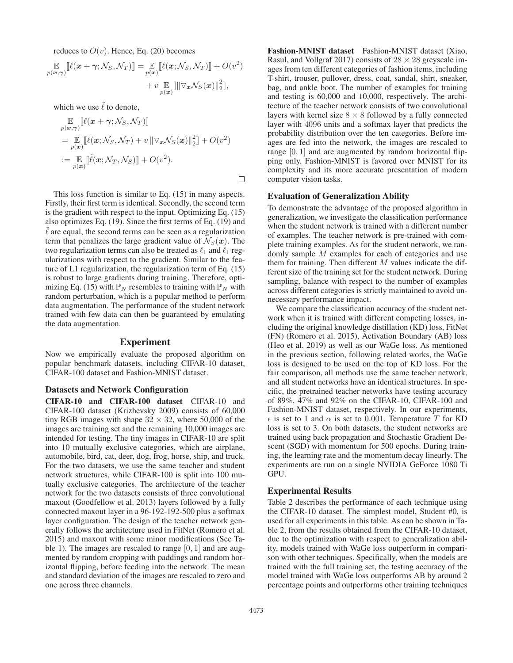reduces to  $O(v)$ . Hence, Eq. (20) becomes

 $\mathbb{E}_{p(\boldsymbol{x}, \boldsymbol{\gamma})} [\![\ell(\boldsymbol{x} + \boldsymbol{\gamma}; \mathcal{N}_S, \mathcal{N}_T)]\!] = \mathbb{E}_{p(\boldsymbol{x})} [\![\ell(\boldsymbol{x}; \mathcal{N}_S, \mathcal{N}_T)]\!] + O(v^2)$  $+ v \mathop{\mathbb{E}}_{p(\boldsymbol{x})} \llbracket \|\triangledown_{\boldsymbol{x}}\mathcal{N}_S(\boldsymbol{x})\|_2^2 \rrbracket,$ 

which we use  $\tilde{\ell}$  to denote,

$$
\mathbb{E}_{p(\boldsymbol{x},\boldsymbol{\gamma})}[\ell(\boldsymbol{x}+\boldsymbol{\gamma};\mathcal{N}_S,\mathcal{N}_T)]
$$
\n
$$
= \mathbb{E}_{p(\boldsymbol{x})}[\ell(\boldsymbol{x};\mathcal{N}_S,\mathcal{N}_T) + v \|\nabla_{\boldsymbol{x}}\mathcal{N}_S(\boldsymbol{x})\|_2^2] + O(v^2)
$$
\n
$$
:= \mathbb{E}_{p(\boldsymbol{x})}[\ell(\boldsymbol{x};\mathcal{N}_T,\mathcal{N}_S)] + O(v^2).
$$

This loss function is similar to Eq. (15) in many aspects. Firstly, their first term is identical. Secondly, the second term is the gradient with respect to the input. Optimizing Eq. (15) also optimizes Eq. (19). Since the first terms of Eq. (19) and  $\ell$  are equal, the second terms can be seen as a regularization term that penalizes the large gradient value of  $\mathcal{N}_S(\boldsymbol{x})$ . The two regularization terms can also be treated as  $\ell_1$  and  $\ell_1$  regularizations with respect to the gradient. Similar to the feature of L1 regularization, the regularization term of Eq. (15) is robust to large gradients during training. Therefore, optimizing Eq. (15) with  $\mathbb{P}_N$  resembles to training with  $\mathbb{P}_N$  with random perturbation, which is a popular method to perform data augmentation. The performance of the student network trained with few data can then be guaranteed by emulating the data augmentation.

### Experiment

Now we empirically evaluate the proposed algorithm on popular benchmark datasets, including CIFAR-10 dataset, CIFAR-100 dataset and Fashion-MNIST dataset.

### Datasets and Network Configuration

CIFAR-10 and CIFAR-100 dataset CIFAR-10 and CIFAR-100 dataset (Krizhevsky 2009) consists of 60,000 tiny RGB images with shape  $32 \times 32$ , where 50,000 of the images are training set and the remaining 10,000 images are intended for testing. The tiny images in CIFAR-10 are split into 10 mutually exclusive categories, which are airplane, automobile, bird, cat, deer, dog, frog, horse, ship, and truck. For the two datasets, we use the same teacher and student network structures, while CIFAR-100 is split into 100 mutually exclusive categories. The architecture of the teacher network for the two datasets consists of three convolutional maxout (Goodfellow et al. 2013) layers followed by a fully connected maxout layer in a 96-192-192-500 plus a softmax layer configuration. The design of the teacher network generally follows the architecture used in FitNet (Romero et al. 2015) and maxout with some minor modifications (See Table 1). The images are rescaled to range  $[0, 1]$  and are augmented by random cropping with paddings and random horizontal flipping, before feeding into the network. The mean and standard deviation of the images are rescaled to zero and one across three channels.

Fashion-MNIST dataset Fashion-MNIST dataset (Xiao, Rasul, and Vollgraf 2017) consists of  $28 \times 28$  greyscale images from ten different categories of fashion items, including T-shirt, trouser, pullover, dress, coat, sandal, shirt, sneaker, bag, and ankle boot. The number of examples for training and testing is 60,000 and 10,000, respectively. The architecture of the teacher network consists of two convolutional layers with kernel size  $8 \times 8$  followed by a fully connected layer with 4096 units and a softmax layer that predicts the probability distribution over the ten categories. Before images are fed into the network, the images are rescaled to range  $[0, 1]$  and are augmented by random horizontal flipping only. Fashion-MNIST is favored over MNIST for its complexity and its more accurate presentation of modern computer vision tasks.

#### Evaluation of Generalization Ability

To demonstrate the advantage of the proposed algorithm in generalization, we investigate the classification performance when the student network is trained with a different number of examples. The teacher network is pre-trained with complete training examples. As for the student network, we randomly sample M examples for each of categories and use them for training. Then different  $M$  values indicate the different size of the training set for the student network. During sampling, balance with respect to the number of examples across different categories is strictly maintained to avoid unnecessary performance impact.

We compare the classification accuracy of the student network when it is trained with different competing losses, including the original knowledge distillation (KD) loss, FitNet (FN) (Romero et al. 2015), Activation Boundary (AB) loss (Heo et al. 2019) as well as our WaGe loss. As mentioned in the previous section, following related works, the WaGe loss is designed to be used on the top of KD loss. For the fair comparison, all methods use the same teacher network, and all student networks have an identical structures. In specific, the pretrained teacher networks have testing accuracy of 89%, 47% and 92% on the CIFAR-10, CIFAR-100 and Fashion-MNIST dataset, respectively. In our experiments,  $\epsilon$  is set to 1 and  $\alpha$  is set to 0.001. Temperature T for KD loss is set to 3. On both datasets, the student networks are trained using back propagation and Stochastic Gradient Descent (SGD) with momentum for 500 epochs. During training, the learning rate and the momentum decay linearly. The experiments are run on a single NVIDIA GeForce 1080 Ti GPU.

## Experimental Results

Table 2 describes the performance of each technique using the CIFAR-10 dataset. The simplest model, Student #0, is used for all experiments in this table. As can be shown in Table 2, from the results obtained from the CIFAR-10 dataset, due to the optimization with respect to generalization ability, models trained with WaGe loss outperform in comparison with other techniques. Specifically, when the models are trained with the full training set, the testing accuracy of the model trained with WaGe loss outperforms AB by around 2 percentage points and outperforms other training techniques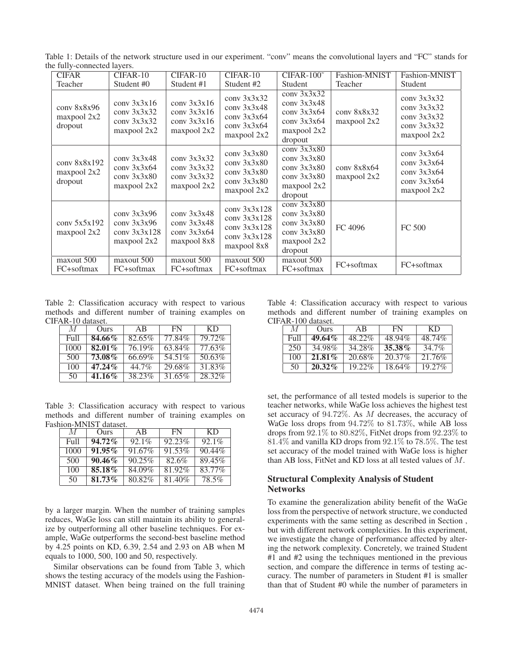Table 1: Details of the network structure used in our experiment. "conv" means the convolutional layers and "FC" stands for the fully-connected layers.

| <b>CIFAR</b>                           | CIFAR-10                                                      | CIFAR-10                                                       | CIFAR-10                                                                        | $CIFAR-100^{\circ}$                                                                        | Fashion-MNIST              | Fashion-MNIST                                                                   |
|----------------------------------------|---------------------------------------------------------------|----------------------------------------------------------------|---------------------------------------------------------------------------------|--------------------------------------------------------------------------------------------|----------------------------|---------------------------------------------------------------------------------|
| Teacher                                | Student #0                                                    | Student #1                                                     | Student #2                                                                      | Student                                                                                    | Teacher                    | Student                                                                         |
| conv 8x8x96<br>maxpool 2x2<br>dropout  | conv 3x3x16<br>conv 3x3x32<br>conv 3x3x32<br>maxpool 2x2      | conv 3x3x16<br>conv $3x3x16$<br>conv $3x3x16$<br>maxpool 2x2   | conv $3x3x32$<br>conv $3x3x48$<br>conv $3x3x64$<br>$conv$ 3x3x64<br>maxpool 2x2 | conv $3x3x32$<br>conv $3x3x48$<br>conv $3x3x64$<br>conv $3x3x64$<br>maxpool 2x2<br>dropout | conv 8x8x32<br>maxpool 2x2 | conv 3x3x32<br>conv 3x3x32<br>conv 3x3x32<br>conv 3x3x32<br>maxpool 2x2         |
| conv 8x8x192<br>maxpool 2x2<br>dropout | conv $3x3x48$<br>conv $3x3x64$<br>conv 3x3x80<br>maxpool 2x2  | conv 3x3x32<br>conv $3x3x32$<br>conv $3x3x32$<br>maxpool 2x2   | conv 3x3x80<br>conv 3x3x80<br>conv 3x3x80<br>conv 3x3x80<br>maxpool 2x2         | conv $3x3x80$<br>conv $3x3x80$<br>conv $3x3x80$<br>conv $3x3x80$<br>maxpool 2x2<br>dropout | conv 8x8x64<br>maxpool 2x2 | conv $3x3x64$<br>conv $3x3x64$<br>conv $3x3x64$<br>conv $3x3x64$<br>maxpool 2x2 |
| conv $5x5x192$<br>maxpool 2x2          | conv $3x3x96$<br>conv 3x3x96<br>conv $3x3x128$<br>maxpool 2x2 | conv $3x3x48$<br>conv $3x3x48$<br>conv $3x3x64$<br>maxpool 8x8 | conv 3x3x128<br>conv 3x3x128<br>conv $3x3x128$<br>conv $3x3x128$<br>maxpool 8x8 | conv $3x3x80$<br>conv 3x3x80<br>conv 3x3x80<br>conv $3x3x80$<br>maxpool 2x2<br>dropout     | FC 4096                    | <b>FC 500</b>                                                                   |
| maxout 500<br>FC+softmax               | maxout 500<br>FC+softmax                                      | maxout 500<br>FC+softmax                                       | maxout 500<br>FC+softmax                                                        | maxout 500<br>FC+softmax                                                                   | FC+softmax                 | FC+softmax                                                                      |

Table 2: Classification accuracy with respect to various methods and different number of training examples on CIFAR-10 dataset.

| M                 | Ours                 | AB     | FN     | KD.    |
|-------------------|----------------------|--------|--------|--------|
| F <sub>u</sub> 11 | 84.66%               | 82.65% | 77.84% | 79.72% |
| 1000              | 82.01%               | 76.19% | 63.84% | 77.63% |
| 500               | $73.08\overline{\%}$ | 66.69% | 54.51% | 50.63% |
| 100               | $47.24\%$            | 44.7%  | 29.68% | 31.83% |
| 50                | 41.16%               | 38.23% | 31.65% | 28.32% |

Table 3: Classification accuracy with respect to various methods and different number of training examples on Fashion-MNIST dataset.

| M    | Ours      | AB        | FN     | KD        |
|------|-----------|-----------|--------|-----------|
| Full | $94.72\%$ | $92.1\%$  | 92.23% | $92.1\%$  |
| 1000 | $91.95\%$ | 91.67%    | 91.53% | 90.44%    |
| 500  | $90.46\%$ | $90.25\%$ | 82.6%  | 89.45%    |
| 100  | 85.18%    | 84.09%    | 81.92% | $83.77\%$ |
| 50   | 81.73%    | 80.82%    | 81.40% | 78.5%     |

by a larger margin. When the number of training samples reduces, WaGe loss can still maintain its ability to generalize by outperforming all other baseline techniques. For example, WaGe outperforms the second-best baseline method by 4.25 points on KD, 6.39, 2.54 and 2.93 on AB when M equals to 1000, 500, 100 and 50, respectively.

Similar observations can be found from Table 3, which shows the testing accuracy of the models using the Fashion-MNIST dataset. When being trained on the full training

Table 4: Classification accuracy with respect to various methods and different number of training examples on CIFAR-100 dataset.

| $\overline{1}$ |           |           |           |           |  |  |  |
|----------------|-----------|-----------|-----------|-----------|--|--|--|
| M              | Ours      | AB        | <b>FN</b> | KD        |  |  |  |
| Full           | $49.64\%$ | 48.22%    | 48.94%    | 48.74%    |  |  |  |
| 250            | 34.98%    | 34.28%    | 35.38%    | 34.7%     |  |  |  |
| 100            | $21.81\%$ | 20.68%    | 20.37%    | 21.76%    |  |  |  |
| 50             | $20.32\%$ | $19.22\%$ | 18.64%    | $19.27\%$ |  |  |  |

set, the performance of all tested models is superior to the teacher networks, while WaGe loss achieves the highest test set accuracy of 94.72%. As M decreases, the accuracy of WaGe loss drops from 94.72% to 81.73%, while AB loss drops from  $92.\overline{1}\%$  to  $80.82\%$ , FitNet drops from  $92.23\%$  to 81.4% and vanilla KD drops from 92.1% to 78.5%. The test set accuracy of the model trained with WaGe loss is higher than AB loss, FitNet and KD loss at all tested values of M.

## Structural Complexity Analysis of Student Networks

To examine the generalization ability benefit of the WaGe loss from the perspective of network structure, we conducted experiments with the same setting as described in Section , but with different network complexities. In this experiment, we investigate the change of performance affected by altering the network complexity. Concretely, we trained Student #1 and #2 using the techniques mentioned in the previous section, and compare the difference in terms of testing accuracy. The number of parameters in Student #1 is smaller than that of Student #0 while the number of parameters in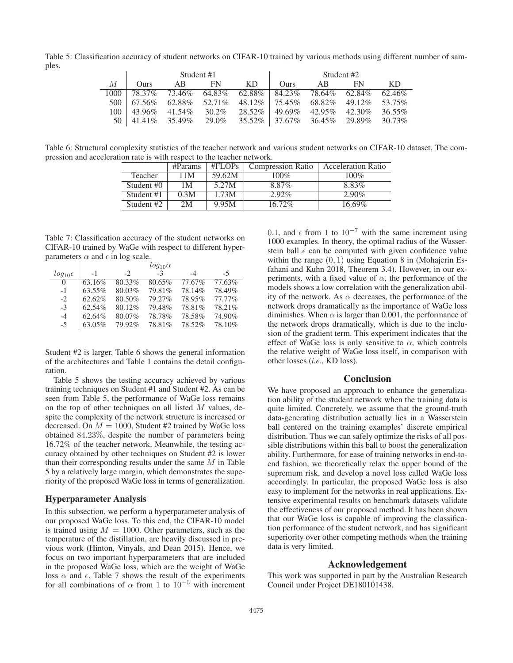Table 5: Classification accuracy of student networks on CIFAR-10 trained by various methods using different number of samples.

|          | Student #1        |                          |          |                                         | Student #2          |               |                 |           |
|----------|-------------------|--------------------------|----------|-----------------------------------------|---------------------|---------------|-----------------|-----------|
| М        | <b>Ours</b>       | AB                       | FN       | KD.                                     | Ours.               | AB            | FN              | KD.       |
| $1000 -$ | 78.37%            | 73.46%                   |          | $64.83\%$ $62.88\%$ $84.23\%$           |                     | 78.64% 62.84% |                 | $62.46\%$ |
| 500 l    |                   | $167.56\%$ 62.88% 52.71% |          | $48.12\%$   75.45\% 68.82\%             |                     |               | 49.12\% 53.75\% |           |
| $100-1$  | $143.96\%$ 41.54% |                          | 30.2%    | 28.52%                                  | $49.69\%$ $42.95\%$ |               | 42.30%          | 36.55%    |
| 50 l     | $141.41\%$ 35.49% |                          | $29.0\%$ | $35.52\%$   37.67% 36.45% 29.89% 30.73% |                     |               |                 |           |

Table 6: Structural complexity statistics of the teacher network and various student networks on CIFAR-10 dataset. The compression and acceleration rate is with respect to the teacher network.

|                | #Params | #FLOPs | <b>Compression Ratio</b> | <b>Acceleration Ratio</b> |
|----------------|---------|--------|--------------------------|---------------------------|
| <b>Teacher</b> | 11M     | 59.62M | 100%                     | 100%                      |
| Student #0     | 1 M     | 5.27M  | 8.87%                    | 8.83%                     |
| Student #1     | 0.3M    | 1.73M  | $2.92\%$                 | $2.90\%$                  |
| Student #2     | 2 M     | 9.95M  | $16.72\%$                | 16.69%                    |

Table 7: Classification accuracy of the student networks on CIFAR-10 trained by WaGe with respect to different hyperparameters  $\alpha$  and  $\epsilon$  in log scale.

|                       |        |        | $log_{10} \alpha$ |        |        |
|-----------------------|--------|--------|-------------------|--------|--------|
| $log_{10}$ $\epsilon$ | $-1$   | $-2$   | $-3$              | $-4$   | $-5$   |
| $\Omega$              | 63.16% | 80.33% | 80.65%            | 77.67% | 77.63% |
| $-1$                  | 63.55% | 80.03% | 79.81%            | 78.14% | 78.49% |
| $-2$                  | 62.62% | 80.50% | 79.27%            | 78.95% | 77.77% |
| $-3$                  | 62.54% | 80.12% | 79.48%            | 78.81% | 78.21% |
| $-4$                  | 62.64% | 80.07% | 78.78%            | 78.58% | 74.90% |
| $-5$                  | 63.05% | 79.92% | 78.81%            | 78.52% | 78.10% |

Student #2 is larger. Table 6 shows the general information of the architectures and Table 1 contains the detail configuration.

Table 5 shows the testing accuracy achieved by various training techniques on Student #1 and Student #2. As can be seen from Table 5, the performance of WaGe loss remains on the top of other techniques on all listed  $M$  values, despite the complexity of the network structure is increased or decreased. On  $M = 1000$ , Student #2 trained by WaGe loss obtained 84.23%, despite the number of parameters being 16.72% of the teacher network. Meanwhile, the testing accuracy obtained by other techniques on Student #2 is lower than their corresponding results under the same  $M$  in Table 5 by a relatively large margin, which demonstrates the superiority of the proposed WaGe loss in terms of generalization.

#### Hyperparameter Analysis

In this subsection, we perform a hyperparameter analysis of our proposed WaGe loss. To this end, the CIFAR-10 model is trained using  $M = 1000$ . Other parameters, such as the temperature of the distillation, are heavily discussed in previous work (Hinton, Vinyals, and Dean 2015). Hence, we focus on two important hyperparameters that are included in the proposed WaGe loss, which are the weight of WaGe loss  $\alpha$  and  $\epsilon$ . Table 7 shows the result of the experiments for all combinations of  $\alpha$  from 1 to 10<sup>-5</sup> with increment 0.1, and  $\epsilon$  from 1 to 10<sup>-7</sup> with the same increment using 1000 examples. In theory, the optimal radius of the Wasserstein ball  $\epsilon$  can be computed with given confidence value within the range  $(0, 1)$  using Equation 8 in (Mohajerin Esfahani and Kuhn 2018, Theorem 3.4). However, in our experiments, with a fixed value of  $\alpha$ , the performance of the models shows a low correlation with the generalization ability of the network. As  $\alpha$  decreases, the performance of the network drops dramatically as the importance of WaGe loss diminishes. When  $\alpha$  is larger than 0.001, the performance of the network drops dramatically, which is due to the inclusion of the gradient term. This experiment indicates that the effect of WaGe loss is only sensitive to  $\alpha$ , which controls the relative weight of WaGe loss itself, in comparison with other losses (*i.e.*, KD loss).

## **Conclusion**

We have proposed an approach to enhance the generalization ability of the student network when the training data is quite limited. Concretely, we assume that the ground-truth data-generating distribution actually lies in a Wasserstein ball centered on the training examples' discrete empirical distribution. Thus we can safely optimize the risks of all possible distributions within this ball to boost the generalization ability. Furthermore, for ease of training networks in end-toend fashion, we theoretically relax the upper bound of the supremum risk, and develop a novel loss called WaGe loss accordingly. In particular, the proposed WaGe loss is also easy to implement for the networks in real applications. Extensive experimental results on benchmark datasets validate the effectiveness of our proposed method. It has been shown that our WaGe loss is capable of improving the classification performance of the student network, and has significant superiority over other competing methods when the training data is very limited.

#### Acknowledgement

This work was supported in part by the Australian Research Council under Project DE180101438.